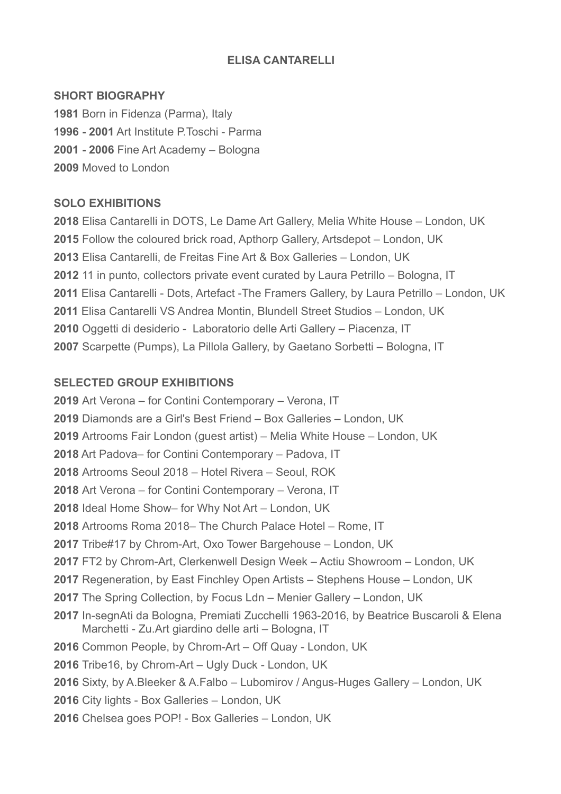# **ELISA CANTARELLI**

#### **SHORT BIOGRAPHY**

Born in Fidenza (Parma), Italy **1996 - 2001** Art Institute P.Toschi - Parma **2001 - 2006** Fine Art Academy – Bologna Moved to London

#### **SOLO EXHIBITIONS**

 Elisa Cantarelli in DOTS, Le Dame Art Gallery, Melia White House – London, UK Follow the coloured brick road, Apthorp Gallery, Artsdepot – London, UK Elisa Cantarelli, de Freitas Fine Art & Box Galleries – London, UK 11 in punto, collectors private event curated by Laura Petrillo – Bologna, IT Elisa Cantarelli - Dots, Artefact -The Framers Gallery, by Laura Petrillo – London, UK Elisa Cantarelli VS Andrea Montin, Blundell Street Studios – London, UK Oggetti di desiderio - Laboratorio delle Arti Gallery – Piacenza, IT Scarpette (Pumps), La Pillola Gallery, by Gaetano Sorbetti – Bologna, IT

## **SELECTED GROUP EXHIBITIONS**

Art Verona – for Contini Contemporary – Verona, IT Diamonds are a Girl's Best Friend – Box Galleries – London, UK Artrooms Fair London (guest artist) – Melia White House – London, UK Art Padova– for Contini Contemporary – Padova, IT Artrooms Seoul 2018 – Hotel Rivera – Seoul, ROK Art Verona – for Contini Contemporary – Verona, IT Ideal Home Show– for Why Not Art – London, UK Artrooms Roma 2018– The Church Palace Hotel – Rome, IT Tribe#17 by Chrom-Art, Oxo Tower Bargehouse – London, UK FT2 by Chrom-Art, Clerkenwell Design Week – Actiu Showroom – London, UK Regeneration, by East Finchley Open Artists – Stephens House – London, UK The Spring Collection, by Focus Ldn – Menier Gallery – London, UK In-segnAti da Bologna, Premiati Zucchelli 1963-2016, by Beatrice Buscaroli & Elena Marchetti - Zu.Art giardino delle arti – Bologna, IT Common People, by Chrom-Art – Off Quay - London, UK Tribe16, by Chrom-Art – Ugly Duck - London, UK Sixty, by A.Bleeker & A.Falbo – Lubomirov / Angus-Huges Gallery – London, UK City lights - Box Galleries – London, UK Chelsea goes POP! - Box Galleries – London, UK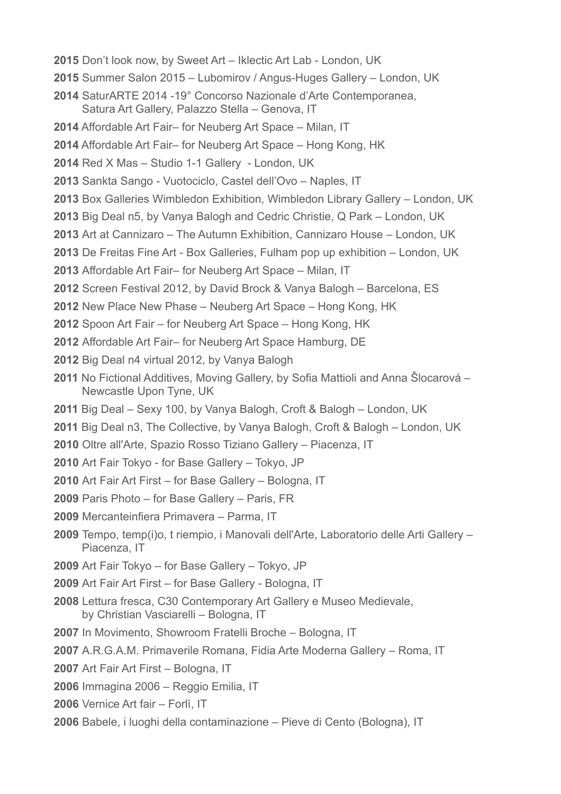- Don't look now, by Sweet Art Iklectic Art Lab London, UK
- Summer Salon 2015 Lubomirov / Angus-Huges Gallery London, UK
- SaturARTE 2014 -19° Concorso Nazionale d'Arte Contemporanea, Satura Art Gallery, Palazzo Stella – Genova, IT
- Affordable Art Fair– for Neuberg Art Space Milan, IT
- Affordable Art Fair– for Neuberg Art Space Hong Kong, HK
- Red X Mas Studio 1-1 Gallery London, UK
- Sankta Sango Vuotociclo, Castel dell'Ovo Naples, IT
- Box Galleries Wimbledon Exhibition, Wimbledon Library Gallery London, UK
- Big Deal n5, by Vanya Balogh and Cedric Christie, Q Park London, UK
- Art at Cannizaro The Autumn Exhibition, Cannizaro House London, UK
- De Freitas Fine Art Box Galleries, Fulham pop up exhibition London, UK
- Affordable Art Fair– for Neuberg Art Space Milan, IT
- Screen Festival 2012, by David Brock & Vanya Balogh Barcelona, ES
- New Place New Phase Neuberg Art Space Hong Kong, HK
- Spoon Art Fair for Neuberg Art Space Hong Kong, HK
- Affordable Art Fair– for Neuberg Art Space Hamburg, DE
- Big Deal n4 virtual 2012, by Vanya Balogh
- No Fictional Additives, Moving Gallery, by Sofia Mattioli and Anna Šlocarová Newcastle Upon Tyne, UK
- Big Deal Sexy 100, by Vanya Balogh, Croft & Balogh London, UK
- Big Deal n3, The Collective, by Vanya Balogh, Croft & Balogh London, UK
- Oltre all'Arte, Spazio Rosso Tiziano Gallery Piacenza, IT
- Art Fair Tokyo for Base Gallery Tokyo, JP
- Art Fair Art First for Base Gallery Bologna, IT
- Paris Photo for Base Gallery Paris, FR
- Mercanteinfiera Primavera Parma, IT
- Tempo, temp(i)o, t riempio, i Manovali dell'Arte, Laboratorio delle Arti Gallery Piacenza, IT
- Art Fair Tokyo for Base Gallery Tokyo, JP
- Art Fair Art First for Base Gallery Bologna, IT
- Lettura fresca, C30 Contemporary Art Gallery e Museo Medievale, by Christian Vasciarelli – Bologna, IT
- In Movimento, Showroom Fratelli Broche Bologna, IT
- A.R.G.A.M. Primaverile Romana, Fidia Arte Moderna Gallery Roma, IT
- Art Fair Art First Bologna, IT
- Immagina 2006 Reggio Emilia, IT
- Vernice Art fair Forlì, IT
- Babele, i luoghi della contaminazione Pieve di Cento (Bologna), IT